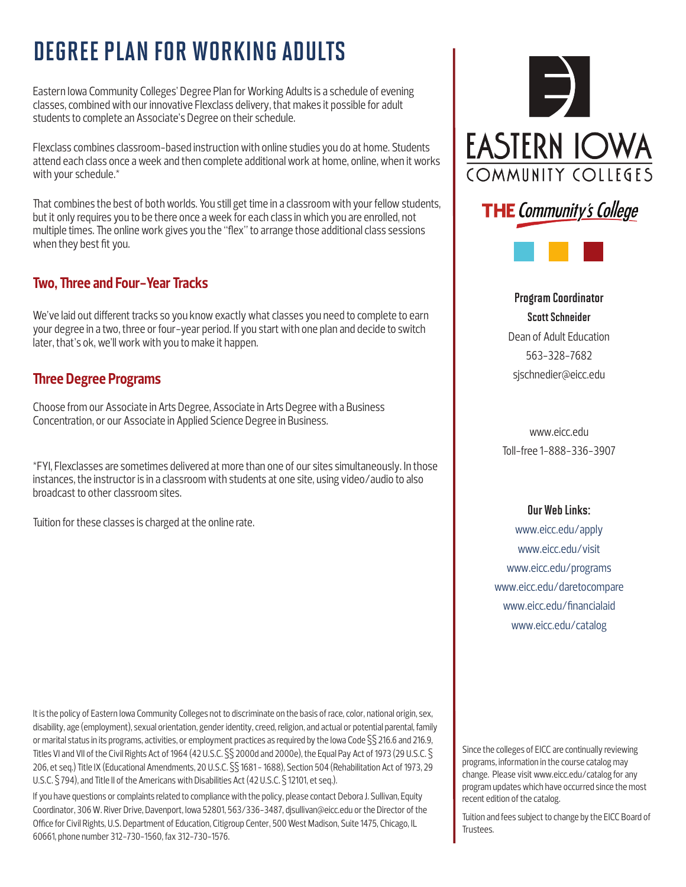Eastern Iowa Community Colleges' Degree Plan for Working Adults is a schedule of evening classes, combined with our innovative Flexclass delivery, that makes it possible for adult students to complete an Associate's Degree on their schedule.

Flexclass combines classroom-based instruction with online studies you do at home. Students attend each class once a week and then complete additional work at home, online, when it works with your schedule.\*

That combines the best of both worlds. You still get time in a classroom with your fellow students, but it only requires you to be there once a week for each class in which you are enrolled, not multiple times. The online work gives you the "flex" to arrange those additional class sessions when they best fit you.

# **Two, Three and Four-Year Tracks**

We've laid out different tracks so you know exactly what classes you need to complete to earn your degree in a two, three or four-year period. If you start with one plan and decide to switch later, that's ok, we'll work with you to make it happen.

# **Three Degree Programs**

Choose from our Associate in Arts Degree, Associate in Arts Degree with a Business Concentration, or our Associate in Applied Science Degree in Business.

\*FYI, Flexclasses are sometimes delivered at more than one of our sites simultaneously. In those instances, the instructor is in a classroom with students at one site, using video/audio to also broadcast to other classroom sites.

Tuition for these classes is charged at the online rate.

It is the policy of Eastern Iowa Community Colleges not to discriminate on the basis of race, color, national origin, sex, disability, age (employment), sexual orientation, gender identity, creed, religion, and actual or potential parental, family or marital status in its programs, activities, or employment practices as required by the Iowa Code §§ 216.6 and 216.9, Titles VI and VII of the Civil Rights Act of 1964 (42 U.S.C. §§ 2000d and 2000e), the Equal Pay Act of 1973 (29 U.S.C. § 206, et seq.) Title IX (Educational Amendments, 20 U.S.C. §§ 1681 - 1688), Section 504 (Rehabilitation Act of 1973, 29 U.S.C. § 794), and Title II of the Americans with Disabilities Act (42 U.S.C. § 12101, et seq.).

If you have questions or complaints related to compliance with the policy, please contact Debora J. Sullivan, Equity Coordinator, 306 W. River Drive, Davenport, Iowa 52801, 563/336-3487, djsullivan@eicc.edu or the Director of the Office for Civil Rights, U.S. Department of Education, Citigroup Center, 500 West Madison, Suite 1475, Chicago, IL 60661, phone number 312-730-1560, fax 312-730-1576.





Program Coordinator Scott Schneider Dean of Adult Education 563-328-7682 sjschnedier@eicc.edu

www.eicc.edu Toll-free 1-888-336-3907

#### Our Web Links:

www.eicc.edu/apply www.eicc.edu/visit www.eicc.edu/programs www.eicc.edu/daretocompare www.eicc.edu/financialaid www.eicc.edu/catalog

Since the colleges of EICC are continually reviewing programs, information in the course catalog may change. Please visit www.eicc.edu/catalog for any program updates which have occurred since the most recent edition of the catalog.

Tuition and fees subject to change by the EICC Board of Trustees.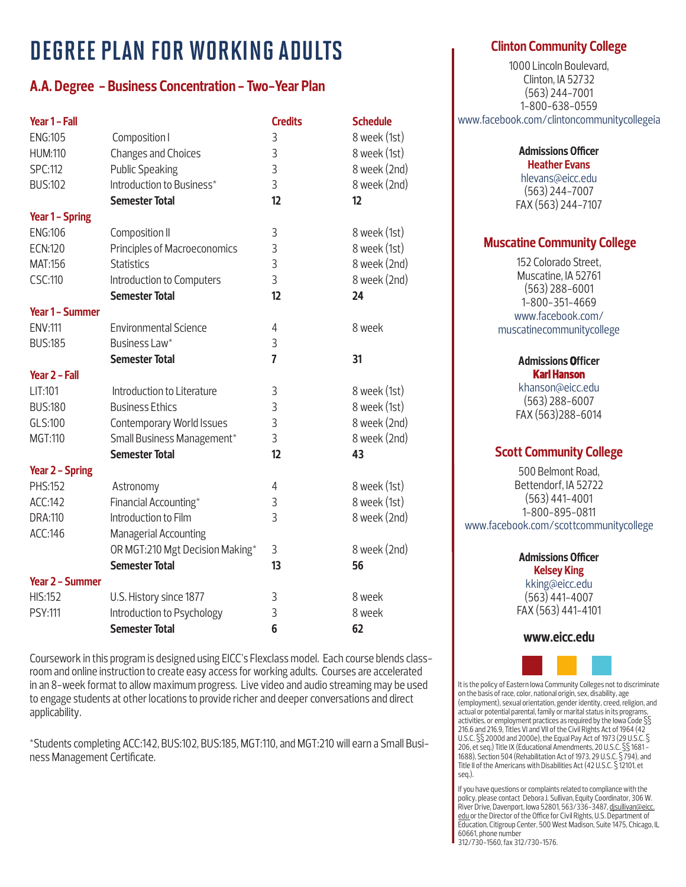# **A.A. Degree - Business Concentration - Two-Year Plan**

| Year 1 - Fall          |                                 | <b>Credits</b> | <b>Schedule</b> |
|------------------------|---------------------------------|----------------|-----------------|
| <b>ENG:105</b>         | Composition I                   | 3              | 8 week (1st)    |
| <b>HUM:110</b>         | Changes and Choices             | 3              | 8 week (1st)    |
| <b>SPC:112</b>         | <b>Public Speaking</b>          | 3              | 8 week (2nd)    |
| <b>BUS:102</b>         | Introduction to Business*       | 3              | 8 week (2nd)    |
|                        | <b>Semester Total</b>           | 12             | 12              |
| <b>Year 1 - Spring</b> |                                 |                |                 |
| <b>ENG:106</b>         | Composition II                  | 3              | 8 week (1st)    |
| ECN:120                | Principles of Macroeconomics    | 3              | 8 week (1st)    |
| MAT:156                | <b>Statistics</b>               | 3              | 8 week (2nd)    |
| CSC:110                | Introduction to Computers       | 3              | 8 week (2nd)    |
|                        | <b>Semester Total</b>           | 12             | 24              |
| Year 1 - Summer        |                                 |                |                 |
| <b>ENV:111</b>         | <b>Environmental Science</b>    | 4              | 8 week          |
| <b>BUS:185</b>         | Business Law*                   | 3              |                 |
|                        | <b>Semester Total</b>           | $\overline{7}$ | 31              |
| Year 2 - Fall          |                                 |                |                 |
| LIT:101                | Introduction to Literature      | 3              | 8 week (1st)    |
| <b>BUS:180</b>         | <b>Business Ethics</b>          | 3              | 8 week (1st)    |
| GLS:100                | Contemporary World Issues       | 3              | 8 week (2nd)    |
| MGT:110                | Small Business Management*      | 3              | 8 week (2nd)    |
|                        | <b>Semester Total</b>           | 12             | 43              |
| <b>Year 2 - Spring</b> |                                 |                |                 |
| PHS:152                | Astronomy                       | 4              | 8 week (1st)    |
| ACC:142                | Financial Accounting*           | 3              | 8 week (1st)    |
| <b>DRA:110</b>         | Introduction to Film            | 3              | 8 week (2nd)    |
| ACC:146                | Managerial Accounting           |                |                 |
|                        | OR MGT:210 Mgt Decision Making* | 3              | 8 week (2nd)    |
|                        | <b>Semester Total</b>           | 13             | 56              |
| Year 2 - Summer        |                                 |                |                 |
| <b>HIS:152</b>         | U.S. History since 1877         | 3              | 8 week          |
| PSY:111                | Introduction to Psychology      | 3              | 8 week          |
|                        | <b>Semester Total</b>           | $6\phantom{a}$ | 62              |

Coursework in this program is designed using EICC's Flexclass model. Each course blends classroom and online instruction to create easy access for working adults. Courses are accelerated in an 8-week format to allow maximum progress. Live video and audio streaming may be used to engage students at other locations to provide richer and deeper conversations and direct applicability.

\*Students completing ACC:142, BUS:102, BUS:185, MGT:110, and MGT:210 will earn a Small Business Management Certificate.

## **Clinton Community College**

1000 Lincoln Boulevard, Clinton, IA 52732 (563) 244-7001 1-800-638-0559 www.facebook.com/clintoncommunitycollegeia

> **Admissions Officer Heather Evans**

hlevans@eicc.edu (563) 244-7007 FAX (563) 244-7107

## **Muscatine Community College**

152 Colorado Street, Muscatine, IA 52761 (563) 288-6001 1-800-351-4669 www.facebook.com/ muscatinecommunitycollege

#### **Admissions Officer Kari Hanson**

khanson@eicc.edu (563) 288-6007 FAX (563)288-6014

# **Scott Community College**

500 Belmont Road, Bettendorf, IA 52722 (563) 441-4001 1-800-895-0811 www.facebook.com/scottcommunitycollege

> **Admissions Officer Kelsey King**  kking@eicc.edu (563) 441-4007 FAX (563) 441-4101

### **www.eicc.edu**



It is the policy of Eastern Iowa Community Colleges not to discriminate on the basis of race, color, national origin, sex, disability, age (employment), sexual orientation, gender identity, creed, religion, and actual or potential parental, family or marital status in its programs, activities, or employment practices as required by the Iowa Code  $\S$ 216.6 and 216.9, Titles VI and VII of the Civil Rights Act of 1964 (42 U.S.C. §§ 2000d and 2000e), the Equal Pay Act of 1973 (29 U.S.C. § 206, et seq.) Title IX (Educational Amendments, 20 U.S.C. §§ 1681 - 1688), Section 504 (Rehabilitation Act of 1973, 29 U.S.C. § 794), and Title II of the Americans with Disabilities Act (42 U.S.C. § 12101, et seq.).

If you have questions or complaints related to compliance with the policy, please contact Debora J. Sullivan, Equity Coordinator, 306 W. River Drive, Davenport, Iowa 52801, 563/336-3487, djsullivan@eicc. edu or the Director of the Office for Civil Rights, U.S. Department of Education, Citigroup Center, 500 West Madison, Suite 1475, Chicago, IL 60661, phone number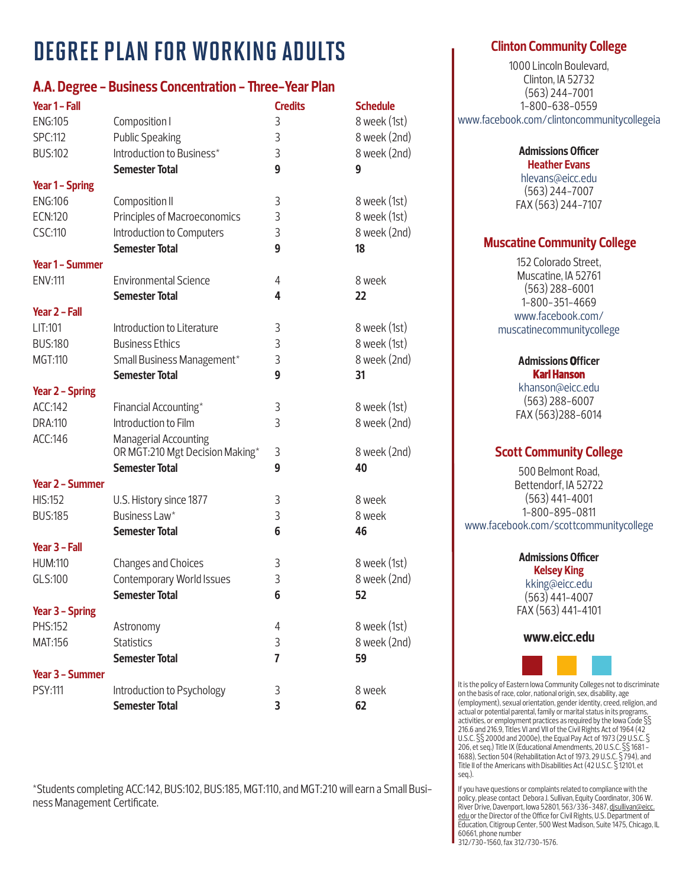# **A.A. Degree - Business Concentration - Three-Year Plan**

| Year 1 - Fall          |                                 | <b>Credits</b> | <b>Schedule</b> |
|------------------------|---------------------------------|----------------|-----------------|
| <b>ENG:105</b>         | Composition I                   | 3              | 8 week (1st)    |
| <b>SPC:112</b>         | <b>Public Speaking</b>          | 3              | 8 week (2nd)    |
| <b>BUS:102</b>         | Introduction to Business*       | 3              | 8 week (2nd)    |
|                        | <b>Semester Total</b>           | 9              | 9               |
| <b>Year 1 - Spring</b> |                                 |                |                 |
| <b>ENG:106</b>         | Composition II                  | 3              | 8 week (1st)    |
| ECN:120                | Principles of Macroeconomics    | 3              | 8 week (1st)    |
| CSC:110                | Introduction to Computers       | 3              | 8 week (2nd)    |
|                        | <b>Semester Total</b>           | 9              | 18              |
| Year 1 - Summer        |                                 |                |                 |
| <b>ENV:111</b>         | <b>Environmental Science</b>    | $\overline{4}$ | 8 week          |
|                        | <b>Semester Total</b>           | 4              | 22              |
| Year 2 - Fall          |                                 |                |                 |
| LIT:101                | Introduction to Literature      | 3              | 8 week (1st)    |
| <b>BUS:180</b>         | <b>Business Ethics</b>          | 3              | 8 week (1st)    |
| MGT:110                | Small Business Management*      | 3              | 8 week (2nd)    |
|                        | <b>Semester Total</b>           | 9              | 31              |
| <b>Year 2 - Spring</b> |                                 |                |                 |
| ACC:142                | Financial Accounting*           | 3              | 8 week (1st)    |
| <b>DRA:110</b>         | Introduction to Film            | 3              | 8 week (2nd)    |
| ACC:146                | Managerial Accounting           |                |                 |
|                        | OR MGT:210 Mgt Decision Making* | 3              | 8 week (2nd)    |
|                        | <b>Semester Total</b>           | 9              | 40              |
| Year 2 - Summer        |                                 |                |                 |
| <b>HIS:152</b>         | U.S. History since 1877         | 3              | 8 week          |
| <b>BUS:185</b>         | Business Law*                   | 3              | 8 week          |
|                        | <b>Semester Total</b>           | 6              | 46              |
| Year 3 - Fall          |                                 |                |                 |
| <b>HUM:110</b>         | <b>Changes and Choices</b>      | 3              | 8 week (1st)    |
| GLS:100                | Contemporary World Issues       | 3              | 8 week (2nd)    |
|                        | <b>Semester Total</b>           | $6\phantom{1}$ | 52              |
| Year 3 - Spring        |                                 |                |                 |
| PHS:152                | Astronomy                       | 4              | 8 week (1st)    |
| MAT:156                | <b>Statistics</b>               | 3              | 8 week (2nd)    |
|                        | <b>Semester Total</b>           | $\overline{7}$ | 59              |
| Year 3 - Summer        |                                 |                |                 |
| PSY:111                | Introduction to Psychology      | 3              | 8 week          |
|                        | <b>Semester Total</b>           | 3              | 62              |

\*Students completing ACC:142, BUS:102, BUS:185, MGT:110, and MGT:210 will earn a Small Business Management Certificate.

## **Clinton Community College**

1000 Lincoln Boulevard, Clinton, IA 52732 (563) 244-7001 1-800-638-0559 www.facebook.com/clintoncommunitycollegeia

> **Admissions Officer Heather Evans** hlevans@eicc.edu

(563) 244-7007 FAX (563) 244-7107

## **Muscatine Community College**

152 Colorado Street, Muscatine, IA 52761 (563) 288-6001 1-800-351-4669 www.facebook.com/ muscatinecommunitycollege

#### **Admissions Officer Kari Hanson**

khanson@eicc.edu (563) 288-6007 FAX (563)288-6014

# **Scott Community College**

500 Belmont Road, Bettendorf, IA 52722 (563) 441-4001 1-800-895-0811 www.facebook.com/scottcommunitycollege

> **Admissions Officer Kelsey King**  kking@eicc.edu (563) 441-4007 FAX (563) 441-4101

#### **www.eicc.edu**



It is the policy of Eastern Iowa Community Colleges not to discriminate on the basis of race, color, national origin, sex, disability, age (employment), sexual orientation, gender identity, creed, religion, and actual or potential parental, family or marital status in its programs, activities, or employment practices as required by the Iowa Code  $\S$ 216.6 and 216.9, Titles VI and VII of the Civil Rights Act of 1964 (42 U.S.C. §§ 2000d and 2000e), the Equal Pay Act of 1973 (29 U.S.C. § 206, et seq.) Title IX (Educational Amendments, 20 U.S.C. §§ 1681 - 1688), Section 504 (Rehabilitation Act of 1973, 29 U.S.C. § 794), and Title II of the Americans with Disabilities Act (42 U.S.C. § 12101, et seq.).

If you have questions or complaints related to compliance with the policy, please contact Debora J. Sullivan, Equity Coordinator, 306 W. River Drive, Davenport, Iowa 52801, 563/336-3487, djsullivan@eicc. edu or the Director of the Office for Civil Rights, U.S. Department of Education, Citigroup Center, 500 West Madison, Suite 1475, Chicago, IL 60661, phone number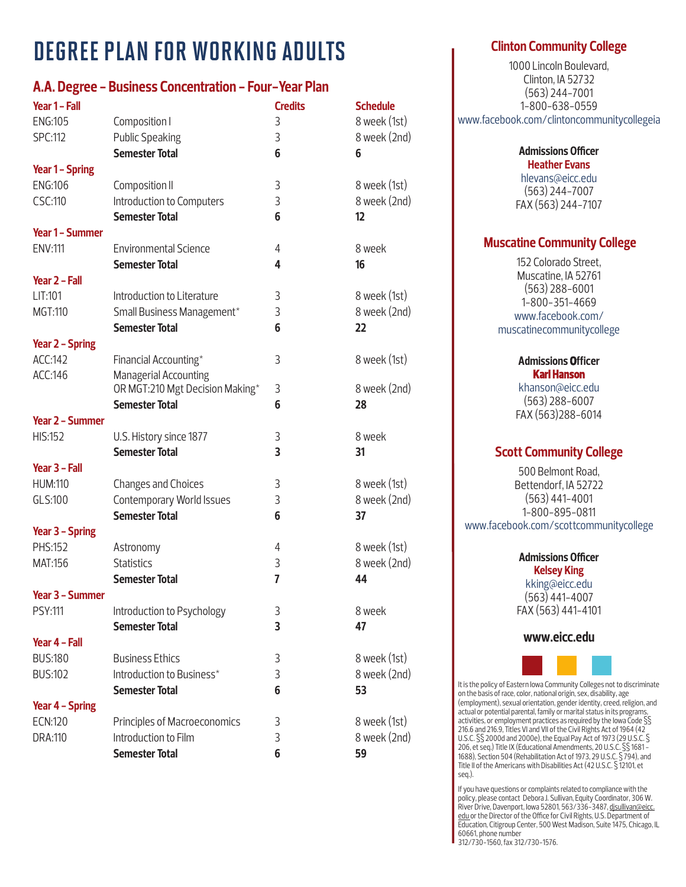## **A.A. Degree - Business Concentration - Four-Year Plan**

| Year 1 - Fall          |                                                          | <b>Credits</b> | <b>Schedule</b> |
|------------------------|----------------------------------------------------------|----------------|-----------------|
| <b>ENG:105</b>         | Composition I                                            | 3              | 8 week (1st)    |
| <b>SPC:112</b>         | <b>Public Speaking</b>                                   | 3              | 8 week (2nd)    |
|                        | <b>Semester Total</b>                                    | 6              | 6               |
| <b>Year 1 - Spring</b> |                                                          |                |                 |
| <b>ENG:106</b>         | Composition II                                           | 3              | 8 week (1st)    |
| CSC:110                | Introduction to Computers                                | 3              | 8 week (2nd)    |
|                        | <b>Semester Total</b>                                    | 6              | 12              |
| <b>Year 1 - Summer</b> |                                                          |                |                 |
| <b>ENV:111</b>         | <b>Environmental Science</b>                             | 4              | 8 week          |
|                        | <b>Semester Total</b>                                    | 4              | 16              |
| Year 2 - Fall          |                                                          |                |                 |
| LIT:101                | Introduction to Literature                               | 3              | 8 week (1st)    |
| MGT:110                | Small Business Management*                               | 3              | 8 week (2nd)    |
|                        | <b>Semester Total</b>                                    | 6              | 22              |
| Year 2 - Spring        |                                                          |                |                 |
| ACC:142                | Financial Accounting*                                    | 3              | 8 week (1st)    |
| ACC:146                | Managerial Accounting<br>OR MGT:210 Mgt Decision Making* | 3              | 8 week (2nd)    |
|                        | <b>Semester Total</b>                                    | 6              | 28              |
| <b>Year 2 - Summer</b> |                                                          |                |                 |
| <b>HIS:152</b>         | U.S. History since 1877                                  | 3              | 8 week          |
|                        | <b>Semester Total</b>                                    | 3              | 31              |
| Year 3 - Fall          |                                                          |                |                 |
| <b>HUM:110</b>         | <b>Changes and Choices</b>                               | 3              | 8 week (1st)    |
| GLS:100                | Contemporary World Issues                                | 3              | 8 week (2nd)    |
|                        | <b>Semester Total</b>                                    | 6              | 37              |
| Year 3 - Spring        |                                                          |                |                 |
| PHS:152                | Astronomy                                                | 4              | 8 week (1st)    |
| MAT:156                | <b>Statistics</b>                                        | 3              | 8 week (2nd)    |
|                        | <b>Semester Total</b>                                    | $\overline{7}$ | 44              |
| Year 3 - Summer        |                                                          |                |                 |
| PSY:111                | Introduction to Psychology                               | 3              | 8 week          |
|                        | <b>Semester Total</b>                                    | 3              | 47              |
| Year 4 - Fall          |                                                          |                |                 |
| <b>BUS:180</b>         | <b>Business Ethics</b>                                   | 3              | 8 week (1st)    |
| <b>BUS:102</b>         | Introduction to Business*                                | 3              | 8 week (2nd)    |
|                        | <b>Semester Total</b>                                    | 6              | 53              |
| Year 4 - Spring        |                                                          |                |                 |
| ECN:120                | Principles of Macroeconomics                             | 3              | 8 week (1st)    |
| <b>DRA:110</b>         | Introduction to Film                                     | 3              | 8 week (2nd)    |
|                        | <b>Semester Total</b>                                    | 6              | 59              |
|                        |                                                          |                |                 |

## **Clinton Community College**

1000 Lincoln Boulevard, Clinton, IA 52732 (563) 244-7001 1-800-638-0559 www.facebook.com/clintoncommunitycollegeia

> **Admissions Officer Heather Evans** hlevans@eicc.edu

(563) 244-7007 FAX (563) 244-7107

## **Muscatine Community College**

152 Colorado Street, Muscatine, IA 52761 (563) 288-6001 1-800-351-4669 www.facebook.com/ muscatinecommunitycollege

#### **Admissions Officer Kari Hanson**

khanson@eicc.edu (563) 288-6007 FAX (563)288-6014

# **Scott Community College**

500 Belmont Road, Bettendorf, IA 52722 (563) 441-4001 1-800-895-0811 www.facebook.com/scottcommunitycollege

> **Admissions Officer Kelsey King**  kking@eicc.edu (563) 441-4007 FAX (563) 441-4101

### **www.eicc.edu**



It is the policy of Eastern Iowa Community Colleges not to discriminate on the basis of race, color, national origin, sex, disability, age (employment), sexual orientation, gender identity, creed, religion, and actual or potential parental, family or marital status in its programs, activities, or employment practices as required by the Iowa Code  $\S$ 216.6 and 216.9, Titles VI and VII of the Civil Rights Act of 1964 (42 U.S.C. §§ 2000d and 2000e), the Equal Pay Act of 1973 (29 U.S.C. § 206, et seq.) Title IX (Educational Amendments, 20 U.S.C. §§ 1681 - 1688), Section 504 (Rehabilitation Act of 1973, 29 U.S.C. § 794), and Title II of the Americans with Disabilities Act (42 U.S.C. § 12101, et seq.).

If you have questions or complaints related to compliance with the policy, please contact Debora J. Sullivan, Equity Coordinator, 306 W. River Drive, Davenport, Iowa 52801, 563/336-3487, djsullivan@eicc. edu or the Director of the Office for Civil Rights, U.S. Department of Education, Citigroup Center, 500 West Madison, Suite 1475, Chicago, IL 60661, phone number